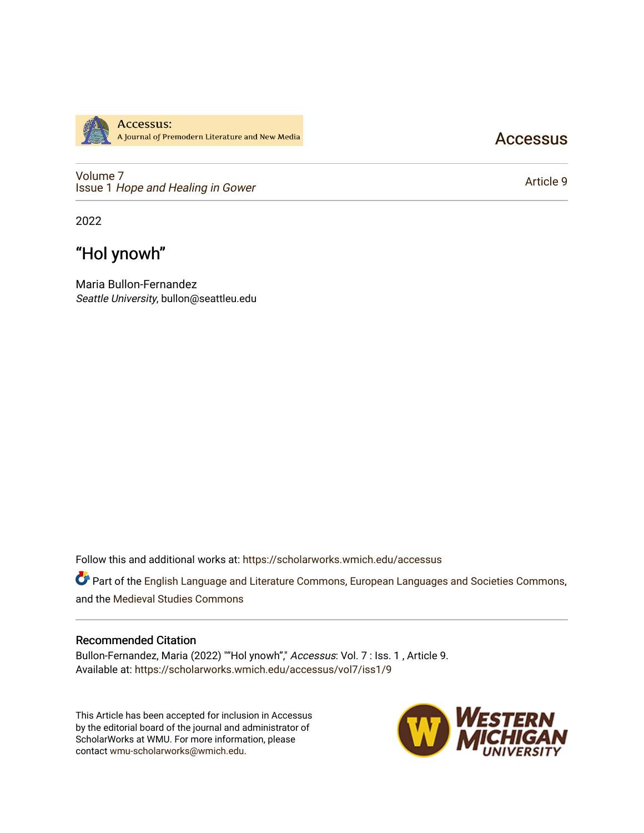

## **Accessus**

[Volume 7](https://scholarworks.wmich.edu/accessus/vol7) Issue 1 [Hope and Healing in Gower](https://scholarworks.wmich.edu/accessus/vol7/iss1) 

[Article 9](https://scholarworks.wmich.edu/accessus/vol7/iss1/9) 

2022

# "Hol ynowh"

Maria Bullon-Fernandez Seattle University, bullon@seattleu.edu

Follow this and additional works at: [https://scholarworks.wmich.edu/accessus](https://scholarworks.wmich.edu/accessus?utm_source=scholarworks.wmich.edu%2Faccessus%2Fvol7%2Fiss1%2F9&utm_medium=PDF&utm_campaign=PDFCoverPages)

Part of the [English Language and Literature Commons](http://network.bepress.com/hgg/discipline/455?utm_source=scholarworks.wmich.edu%2Faccessus%2Fvol7%2Fiss1%2F9&utm_medium=PDF&utm_campaign=PDFCoverPages), [European Languages and Societies Commons](http://network.bepress.com/hgg/discipline/482?utm_source=scholarworks.wmich.edu%2Faccessus%2Fvol7%2Fiss1%2F9&utm_medium=PDF&utm_campaign=PDFCoverPages), and the [Medieval Studies Commons](http://network.bepress.com/hgg/discipline/480?utm_source=scholarworks.wmich.edu%2Faccessus%2Fvol7%2Fiss1%2F9&utm_medium=PDF&utm_campaign=PDFCoverPages) 

#### Recommended Citation

Bullon-Fernandez, Maria (2022) ""Hol ynowh"," Accessus: Vol. 7 : Iss. 1 , Article 9. Available at: [https://scholarworks.wmich.edu/accessus/vol7/iss1/9](https://scholarworks.wmich.edu/accessus/vol7/iss1/9?utm_source=scholarworks.wmich.edu%2Faccessus%2Fvol7%2Fiss1%2F9&utm_medium=PDF&utm_campaign=PDFCoverPages) 

This Article has been accepted for inclusion in Accessus by the editorial board of the journal and administrator of ScholarWorks at WMU. For more information, please contact [wmu-scholarworks@wmich.edu](mailto:wmu-scholarworks@wmich.edu).

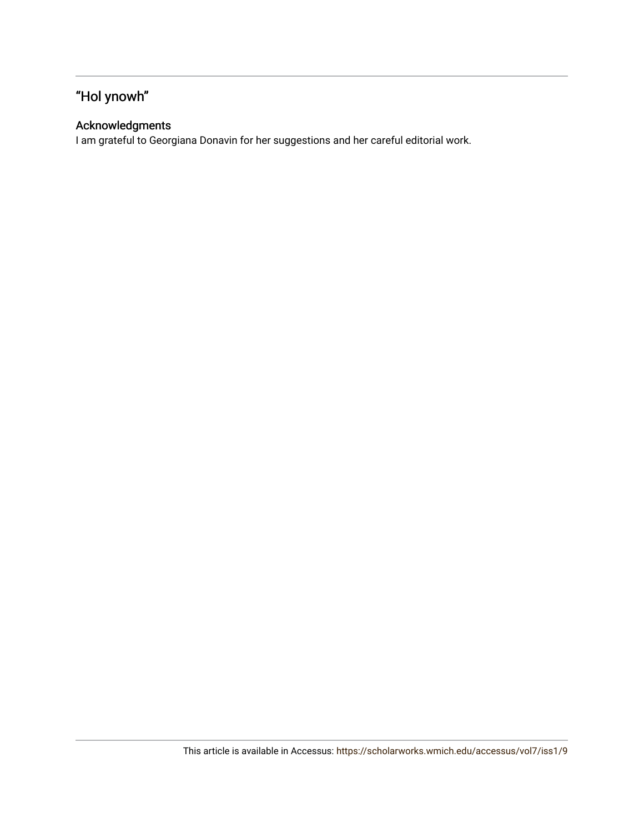# "Hol ynowh"

### Acknowledgments

I am grateful to Georgiana Donavin for her suggestions and her careful editorial work.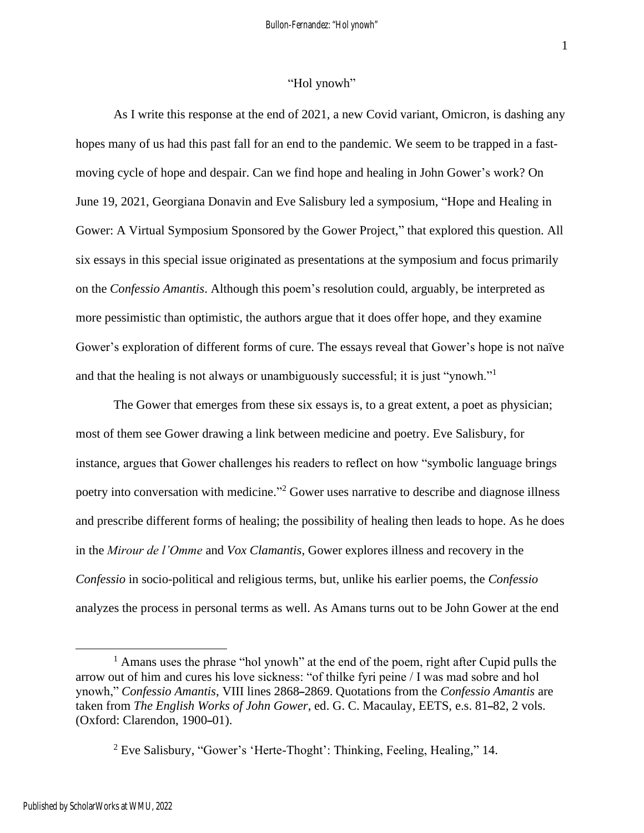#### "Hol ynowh"

As I write this response at the end of 2021, a new Covid variant, Omicron, is dashing any hopes many of us had this past fall for an end to the pandemic. We seem to be trapped in a fastmoving cycle of hope and despair. Can we find hope and healing in John Gower's work? On June 19, 2021, Georgiana Donavin and Eve Salisbury led a symposium, "Hope and Healing in Gower: A Virtual Symposium Sponsored by the Gower Project," that explored this question. All six essays in this special issue originated as presentations at the symposium and focus primarily on the *Confessio Amantis*. Although this poem's resolution could, arguably, be interpreted as more pessimistic than optimistic, the authors argue that it does offer hope, and they examine Gower's exploration of different forms of cure. The essays reveal that Gower's hope is not naïve and that the healing is not always or unambiguously successful; it is just "ynowh."<sup>1</sup>

The Gower that emerges from these six essays is, to a great extent, a poet as physician; most of them see Gower drawing a link between medicine and poetry. Eve Salisbury, for instance, argues that Gower challenges his readers to reflect on how "symbolic language brings poetry into conversation with medicine."<sup>2</sup> Gower uses narrative to describe and diagnose illness and prescribe different forms of healing; the possibility of healing then leads to hope. As he does in the *Mirour de l'Omme* and *Vox Clamantis*, Gower explores illness and recovery in the *Confessio* in socio-political and religious terms, but, unlike his earlier poems, the *Confessio* analyzes the process in personal terms as well. As Amans turns out to be John Gower at the end

<sup>&</sup>lt;sup>1</sup> Amans uses the phrase "hol ynowh" at the end of the poem, right after Cupid pulls the arrow out of him and cures his love sickness: "of thilke fyri peine / I was mad sobre and hol ynowh," *Confessio Amantis*, VIII lines 2868**–**2869. Quotations from the *Confessio Amantis* are taken from *The English Works of John Gower*, ed. G. C. Macaulay, EETS, e.s. 81**–**82, 2 vols. (Oxford: Clarendon, 1900**–**01).

<sup>2</sup> Eve Salisbury, "Gower's 'Herte-Thoght': Thinking, Feeling, Healing," 14.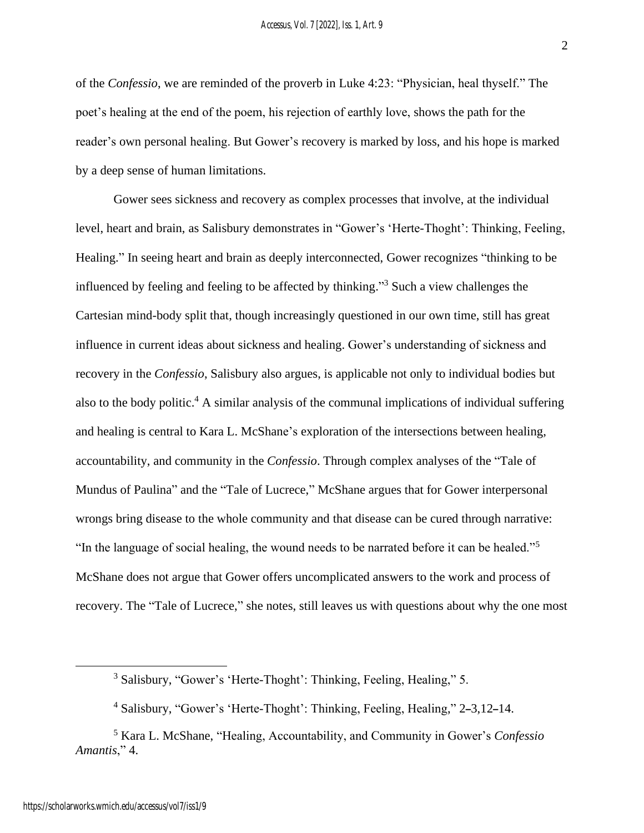of the *Confessio*, we are reminded of the proverb in Luke 4:23: "Physician, heal thyself." The poet's healing at the end of the poem, his rejection of earthly love, shows the path for the reader's own personal healing. But Gower's recovery is marked by loss, and his hope is marked by a deep sense of human limitations.

Gower sees sickness and recovery as complex processes that involve, at the individual level, heart and brain, as Salisbury demonstrates in "Gower's 'Herte-Thoght': Thinking, Feeling, Healing." In seeing heart and brain as deeply interconnected, Gower recognizes "thinking to be influenced by feeling and feeling to be affected by thinking." <sup>3</sup> Such a view challenges the Cartesian mind-body split that, though increasingly questioned in our own time, still has great influence in current ideas about sickness and healing. Gower's understanding of sickness and recovery in the *Confessio*, Salisbury also argues, is applicable not only to individual bodies but also to the body politic.<sup>4</sup> A similar analysis of the communal implications of individual suffering and healing is central to Kara L. McShane's exploration of the intersections between healing, accountability, and community in the *Confessio*. Through complex analyses of the "Tale of Mundus of Paulina" and the "Tale of Lucrece," McShane argues that for Gower interpersonal wrongs bring disease to the whole community and that disease can be cured through narrative: "In the language of social healing, the wound needs to be narrated before it can be healed."<sup>5</sup> McShane does not argue that Gower offers uncomplicated answers to the work and process of recovery. The "Tale of Lucrece," she notes, still leaves us with questions about why the one most

<sup>3</sup> Salisbury, "Gower's 'Herte-Thoght': Thinking, Feeling, Healing," 5.

<sup>4</sup> Salisbury, "Gower's 'Herte-Thoght': Thinking, Feeling, Healing," 2**–**3,12**–**14.

<sup>5</sup> Kara L. McShane, "Healing, Accountability, and Community in Gower's *Confessio Amantis*," 4.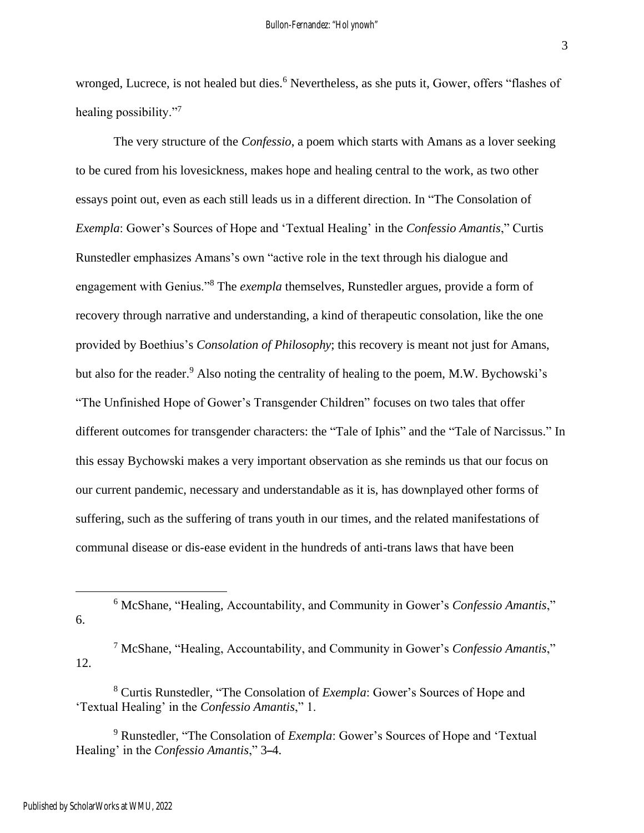3

wronged, Lucrece, is not healed but dies.<sup>6</sup> Nevertheless, as she puts it, Gower, offers "flashes of healing possibility."<sup>7</sup>

The very structure of the *Confessio*, a poem which starts with Amans as a lover seeking to be cured from his lovesickness, makes hope and healing central to the work, as two other essays point out, even as each still leads us in a different direction. In "The Consolation of *Exempla*: Gower's Sources of Hope and 'Textual Healing' in the *Confessio Amantis*," Curtis Runstedler emphasizes Amans's own "active role in the text through his dialogue and engagement with Genius."<sup>8</sup> The *exempla* themselves, Runstedler argues, provide a form of recovery through narrative and understanding, a kind of therapeutic consolation, like the one provided by Boethius's *Consolation of Philosophy*; this recovery is meant not just for Amans, but also for the reader.<sup>9</sup> Also noting the centrality of healing to the poem, M.W. Bychowski's "The Unfinished Hope of Gower's Transgender Children" focuses on two tales that offer different outcomes for transgender characters: the "Tale of Iphis" and the "Tale of Narcissus." In this essay Bychowski makes a very important observation as she reminds us that our focus on our current pandemic, necessary and understandable as it is, has downplayed other forms of suffering, such as the suffering of trans youth in our times, and the related manifestations of communal disease or dis-ease evident in the hundreds of anti-trans laws that have been

<sup>7</sup> McShane, "Healing, Accountability, and Community in Gower's *Confessio Amantis*," 12.

<sup>9</sup> Runstedler, "The Consolation of *Exempla*: Gower's Sources of Hope and 'Textual Healing' in the *Confessio Amantis*," 3**–**4.

<sup>6</sup> McShane, "Healing, Accountability, and Community in Gower's *Confessio Amantis*," 6.

<sup>8</sup> Curtis Runstedler, "The Consolation of *Exempla*: Gower's Sources of Hope and 'Textual Healing' in the *Confessio Amantis*," 1.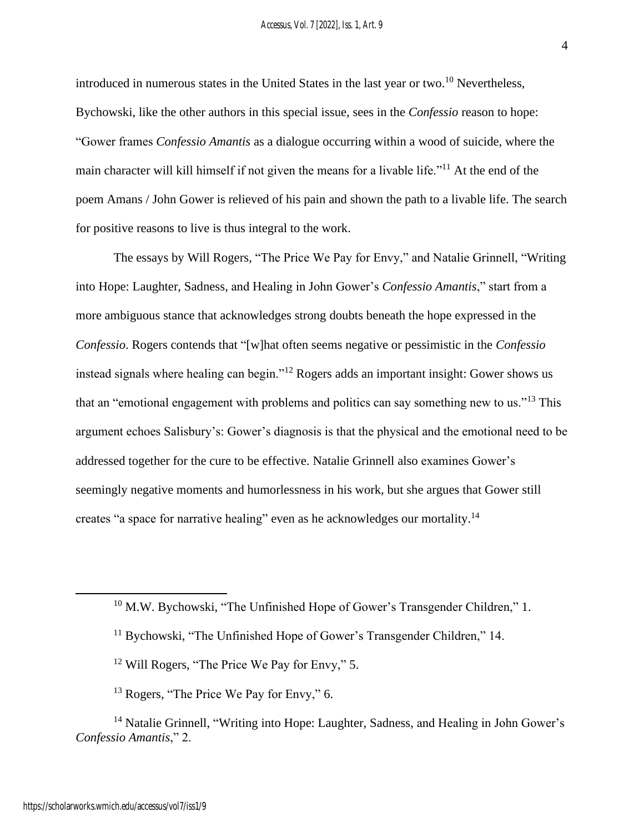introduced in numerous states in the United States in the last year or two.<sup>10</sup> Nevertheless, Bychowski, like the other authors in this special issue, sees in the *Confessio* reason to hope: "Gower frames *Confessio Amantis* as a dialogue occurring within a wood of suicide, where the main character will kill himself if not given the means for a livable life."<sup>11</sup> At the end of the poem Amans / John Gower is relieved of his pain and shown the path to a livable life. The search for positive reasons to live is thus integral to the work.

The essays by Will Rogers, "The Price We Pay for Envy," and Natalie Grinnell, "Writing into Hope: Laughter, Sadness, and Healing in John Gower's *Confessio Amantis*," start from a more ambiguous stance that acknowledges strong doubts beneath the hope expressed in the *Confessio*. Rogers contends that "[w]hat often seems negative or pessimistic in the *Confessio* instead signals where healing can begin."<sup>12</sup> Rogers adds an important insight: Gower shows us that an "emotional engagement with problems and politics can say something new to us."<sup>13</sup> This argument echoes Salisbury's: Gower's diagnosis is that the physical and the emotional need to be addressed together for the cure to be effective. Natalie Grinnell also examines Gower's seemingly negative moments and humorlessness in his work, but she argues that Gower still creates "a space for narrative healing" even as he acknowledges our mortality.<sup>14</sup>

<sup>&</sup>lt;sup>10</sup> M.W. Bychowski, "The Unfinished Hope of Gower's Transgender Children," 1.

<sup>&</sup>lt;sup>11</sup> Bychowski, "The Unfinished Hope of Gower's Transgender Children," 14.

<sup>&</sup>lt;sup>12</sup> Will Rogers, "The Price We Pay for Envy," 5.

<sup>&</sup>lt;sup>13</sup> Rogers, "The Price We Pay for Envy," 6.

<sup>&</sup>lt;sup>14</sup> Natalie Grinnell, "Writing into Hope: Laughter, Sadness, and Healing in John Gower's *Confessio Amantis*," 2.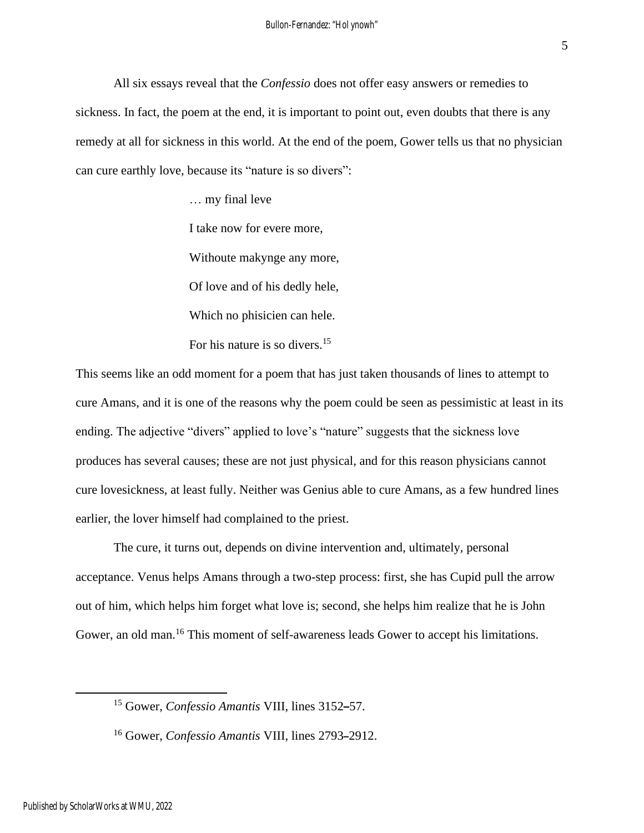All six essays reveal that the *Confessio* does not offer easy answers or remedies to sickness. In fact, the poem at the end, it is important to point out, even doubts that there is any remedy at all for sickness in this world. At the end of the poem, Gower tells us that no physician can cure earthly love, because its "nature is so divers":

… my final leve

I take now for evere more,

Withoute makynge any more,

Of love and of his dedly hele,

Which no phisicien can hele.

For his nature is so divers.<sup>15</sup>

This seems like an odd moment for a poem that has just taken thousands of lines to attempt to cure Amans, and it is one of the reasons why the poem could be seen as pessimistic at least in its ending. The adjective "divers" applied to love's "nature" suggests that the sickness love produces has several causes; these are not just physical, and for this reason physicians cannot cure lovesickness, at least fully. Neither was Genius able to cure Amans, as a few hundred lines earlier, the lover himself had complained to the priest.

The cure, it turns out, depends on divine intervention and, ultimately, personal acceptance. Venus helps Amans through a two-step process: first, she has Cupid pull the arrow out of him, which helps him forget what love is; second, she helps him realize that he is John Gower, an old man.<sup>16</sup> This moment of self-awareness leads Gower to accept his limitations.

<sup>15</sup> Gower, *Confessio Amantis* VIII, lines 3152**–**57.

<sup>16</sup> Gower, *Confessio Amantis* VIII, lines 2793**–**2912.